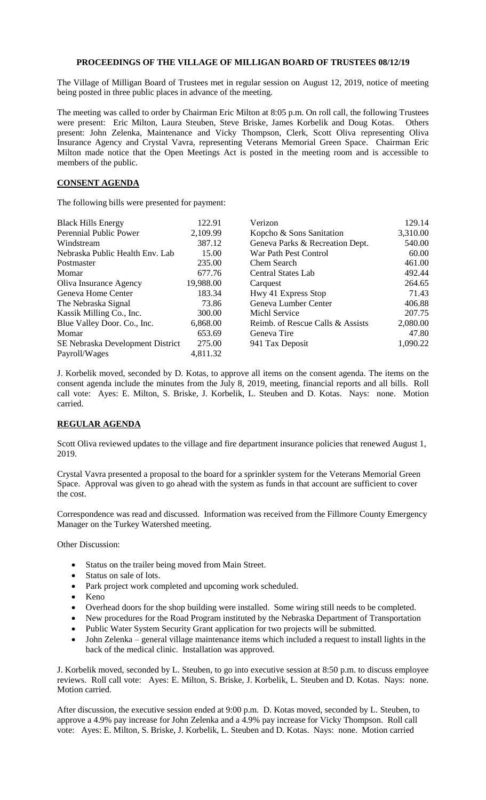## **PROCEEDINGS OF THE VILLAGE OF MILLIGAN BOARD OF TRUSTEES 08/12/19**

The Village of Milligan Board of Trustees met in regular session on August 12, 2019, notice of meeting being posted in three public places in advance of the meeting.

The meeting was called to order by Chairman Eric Milton at 8:05 p.m. On roll call, the following Trustees were present: Eric Milton, Laura Steuben, Steve Briske, James Korbelik and Doug Kotas. Others present: John Zelenka, Maintenance and Vicky Thompson, Clerk, Scott Oliva representing Oliva Insurance Agency and Crystal Vavra, representing Veterans Memorial Green Space. Chairman Eric Milton made notice that the Open Meetings Act is posted in the meeting room and is accessible to members of the public.

## **CONSENT AGENDA**

The following bills were presented for payment:

| <b>Black Hills Energy</b>        | 122.91    | Verizon                          | 129.14   |
|----------------------------------|-----------|----------------------------------|----------|
| Perennial Public Power           | 2,109.99  | Kopcho & Sons Sanitation         | 3,310.00 |
| Windstream                       | 387.12    | Geneva Parks & Recreation Dept.  | 540.00   |
| Nebraska Public Health Env. Lab  | 15.00     | War Path Pest Control            | 60.00    |
| Postmaster                       | 235.00    | Chem Search                      | 461.00   |
| Momar                            | 677.76    | Central States Lab               | 492.44   |
| Oliva Insurance Agency           | 19,988.00 | Carquest                         | 264.65   |
| Geneva Home Center               | 183.34    | Hwy 41 Express Stop              | 71.43    |
| The Nebraska Signal              | 73.86     | Geneva Lumber Center             | 406.88   |
| Kassik Milling Co., Inc.         | 300.00    | Michl Service                    | 207.75   |
| Blue Valley Door. Co., Inc.      | 6,868.00  | Reimb. of Rescue Calls & Assists | 2,080.00 |
| Momar                            | 653.69    | Geneva Tire                      | 47.80    |
| SE Nebraska Development District | 275.00    | 941 Tax Deposit                  | 1,090.22 |
| Payroll/Wages                    | 4,811.32  |                                  |          |

J. Korbelik moved, seconded by D. Kotas, to approve all items on the consent agenda. The items on the consent agenda include the minutes from the July 8, 2019, meeting, financial reports and all bills. Roll call vote: Ayes: E. Milton, S. Briske, J. Korbelik, L. Steuben and D. Kotas. Nays: none. Motion carried.

## **REGULAR AGENDA**

Scott Oliva reviewed updates to the village and fire department insurance policies that renewed August 1, 2019.

Crystal Vavra presented a proposal to the board for a sprinkler system for the Veterans Memorial Green Space. Approval was given to go ahead with the system as funds in that account are sufficient to cover the cost.

Correspondence was read and discussed. Information was received from the Fillmore County Emergency Manager on the Turkey Watershed meeting.

Other Discussion:

- Status on the trailer being moved from Main Street.
- Status on sale of lots.
- Park project work completed and upcoming work scheduled.
- Keno
- Overhead doors for the shop building were installed. Some wiring still needs to be completed.
- New procedures for the Road Program instituted by the Nebraska Department of Transportation
- Public Water System Security Grant application for two projects will be submitted.
- John Zelenka general village maintenance items which included a request to install lights in the back of the medical clinic. Installation was approved.

J. Korbelik moved, seconded by L. Steuben, to go into executive session at 8:50 p.m. to discuss employee reviews. Roll call vote: Ayes: E. Milton, S. Briske, J. Korbelik, L. Steuben and D. Kotas. Nays: none. Motion carried.

After discussion, the executive session ended at 9:00 p.m. D. Kotas moved, seconded by L. Steuben, to approve a 4.9% pay increase for John Zelenka and a 4.9% pay increase for Vicky Thompson. Roll call vote: Ayes: E. Milton, S. Briske, J. Korbelik, L. Steuben and D. Kotas. Nays: none. Motion carried